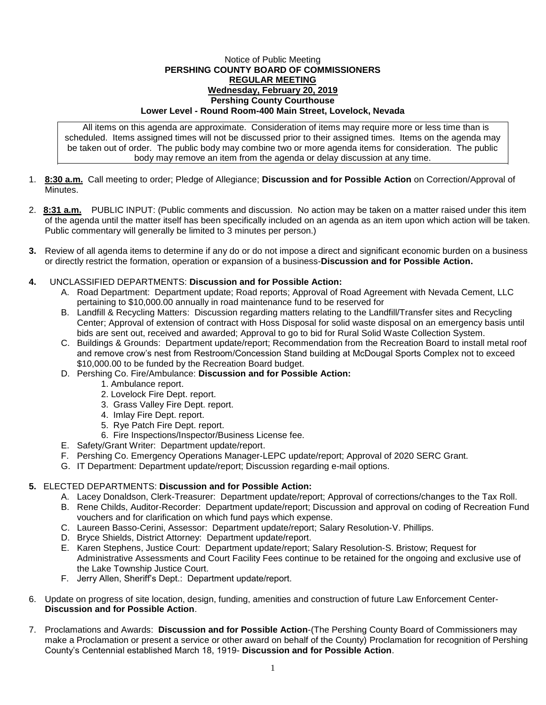## Notice of Public Meeting **PERSHING COUNTY BOARD OF COMMISSIONERS REGULAR MEETING Wednesday, February 20, 2019 Pershing County Courthouse Lower Level - Round Room-400 Main Street, Lovelock, Nevada**

All items on this agenda are approximate. Consideration of items may require more or less time than is scheduled. Items assigned times will not be discussed prior to their assigned times. Items on the agenda may be taken out of order. The public body may combine two or more agenda items for consideration. The public body may remove an item from the agenda or delay discussion at any time.

- 1. **8:30 a.m.** Call meeting to order; Pledge of Allegiance; **Discussion and for Possible Action** on Correction/Approval of Minutes.
- 2. **8:31 a.m.** PUBLIC INPUT: (Public comments and discussion. No action may be taken on a matter raised under this item of the agenda until the matter itself has been specifically included on an agenda as an item upon which action will be taken. Public commentary will generally be limited to 3 minutes per person.)
- **3.** Review of all agenda items to determine if any do or do not impose a direct and significant economic burden on a business or directly restrict the formation, operation or expansion of a business-**Discussion and for Possible Action.**
- **4.** UNCLASSIFIED DEPARTMENTS: **Discussion and for Possible Action:**
	- A. Road Department: Department update; Road reports; Approval of Road Agreement with Nevada Cement, LLC pertaining to \$10,000.00 annually in road maintenance fund to be reserved for
	- B. Landfill & Recycling Matters: Discussion regarding matters relating to the Landfill/Transfer sites and Recycling Center; Approval of extension of contract with Hoss Disposal for solid waste disposal on an emergency basis until bids are sent out, received and awarded; Approval to go to bid for Rural Solid Waste Collection System.
	- C. Buildings & Grounds: Department update/report; Recommendation from the Recreation Board to install metal roof and remove crow's nest from Restroom/Concession Stand building at McDougal Sports Complex not to exceed \$10,000.00 to be funded by the Recreation Board budget.
	- D. Pershing Co. Fire/Ambulance: **Discussion and for Possible Action:**
		- 1. Ambulance report.
		- 2. Lovelock Fire Dept. report.
		- 3. Grass Valley Fire Dept. report.
		- 4. Imlay Fire Dept. report.
		- 5. Rye Patch Fire Dept. report.
		- 6. Fire Inspections/Inspector/Business License fee.
	- E. Safety/Grant Writer: Department update/report.
	- F. Pershing Co. Emergency Operations Manager-LEPC update/report; Approval of 2020 SERC Grant.
	- G. IT Department: Department update/report; Discussion regarding e-mail options.

## **5.** ELECTED DEPARTMENTS: **Discussion and for Possible Action:**

- A. Lacey Donaldson, Clerk-Treasurer: Department update/report; Approval of corrections/changes to the Tax Roll.
- B. Rene Childs, Auditor-Recorder: Department update/report; Discussion and approval on coding of Recreation Fund vouchers and for clarification on which fund pays which expense.
- C. Laureen Basso-Cerini, Assessor: Department update/report; Salary Resolution-V. Phillips.
- D. Bryce Shields, District Attorney: Department update/report.
- E. Karen Stephens, Justice Court: Department update/report; Salary Resolution-S. Bristow; Request for Administrative Assessments and Court Facility Fees continue to be retained for the ongoing and exclusive use of the Lake Township Justice Court.
- F. Jerry Allen, Sheriff's Dept.: Department update/report.
- 6. Update on progress of site location, design, funding, amenities and construction of future Law Enforcement Center-**Discussion and for Possible Action**.
- 7. Proclamations and Awards: **Discussion and for Possible Action**-(The Pershing County Board of Commissioners may make a Proclamation or present a service or other award on behalf of the County) Proclamation for recognition of Pershing County's Centennial established March 18, 1919- **Discussion and for Possible Action**.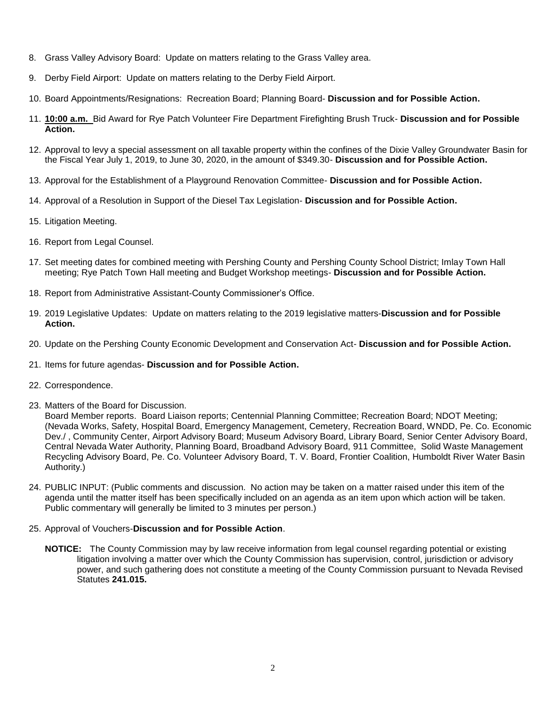- 8. Grass Valley Advisory Board: Update on matters relating to the Grass Valley area.
- 9. Derby Field Airport: Update on matters relating to the Derby Field Airport.
- 10. Board Appointments/Resignations: Recreation Board; Planning Board- **Discussion and for Possible Action.**
- 11. **10:00 a.m.** Bid Award for Rye Patch Volunteer Fire Department Firefighting Brush Truck- **Discussion and for Possible Action.**
- 12. Approval to levy a special assessment on all taxable property within the confines of the Dixie Valley Groundwater Basin for the Fiscal Year July 1, 2019, to June 30, 2020, in the amount of \$349.30- **Discussion and for Possible Action.**
- 13. Approval for the Establishment of a Playground Renovation Committee- **Discussion and for Possible Action.**
- 14. Approval of a Resolution in Support of the Diesel Tax Legislation- **Discussion and for Possible Action.**
- 15. Litigation Meeting.
- 16. Report from Legal Counsel.
- 17. Set meeting dates for combined meeting with Pershing County and Pershing County School District; Imlay Town Hall meeting; Rye Patch Town Hall meeting and Budget Workshop meetings- **Discussion and for Possible Action.**
- 18. Report from Administrative Assistant-County Commissioner's Office.
- 19. 2019 Legislative Updates: Update on matters relating to the 2019 legislative matters-**Discussion and for Possible Action.**
- 20. Update on the Pershing County Economic Development and Conservation Act- **Discussion and for Possible Action.**
- 21. Items for future agendas- **Discussion and for Possible Action.**
- 22. Correspondence.
- 23. Matters of the Board for Discussion.

Board Member reports. Board Liaison reports; Centennial Planning Committee; Recreation Board; NDOT Meeting; (Nevada Works, Safety, Hospital Board, Emergency Management, Cemetery, Recreation Board, WNDD, Pe. Co. Economic Dev./ , Community Center, Airport Advisory Board; Museum Advisory Board, Library Board, Senior Center Advisory Board, Central Nevada Water Authority, Planning Board, Broadband Advisory Board, 911 Committee, Solid Waste Management Recycling Advisory Board, Pe. Co. Volunteer Advisory Board, T. V. Board, Frontier Coalition, Humboldt River Water Basin Authority.)

- 24. PUBLIC INPUT: (Public comments and discussion. No action may be taken on a matter raised under this item of the agenda until the matter itself has been specifically included on an agenda as an item upon which action will be taken. Public commentary will generally be limited to 3 minutes per person.)
- 25. Approval of Vouchers-**Discussion and for Possible Action**.
	- **NOTICE:** The County Commission may by law receive information from legal counsel regarding potential or existing litigation involving a matter over which the County Commission has supervision, control, jurisdiction or advisory power, and such gathering does not constitute a meeting of the County Commission pursuant to Nevada Revised Statutes **241.015.**